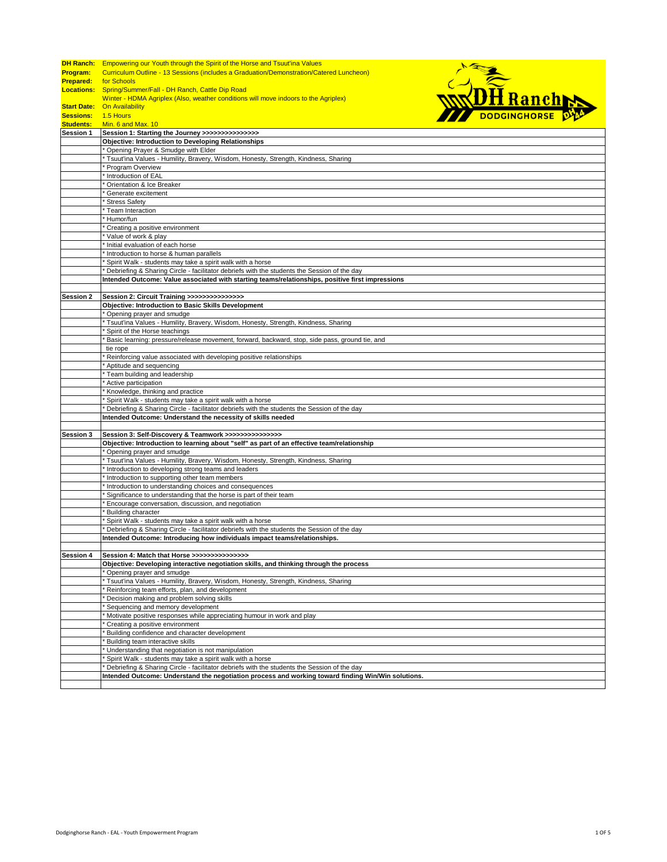|                    | <b>DH Ranch:</b> Empowering our Youth through the Spirit of the Horse and Tsuut'ina Values         |
|--------------------|----------------------------------------------------------------------------------------------------|
| <b>Program:</b>    | Curriculum Outline - 13 Sessions (includes a Graduation/Demonstration/Catered Luncheon)            |
| <b>Prepared:</b>   | for Schools                                                                                        |
|                    |                                                                                                    |
| <b>Locations:</b>  | <b>NDH</b> Ranch<br>Spring/Summer/Fall - DH Ranch, Cattle Dip Road                                 |
|                    | Winter - HDMA Agriplex (Also, weather conditions will move indoors to the Agriplex)                |
| <b>Start Date:</b> | On Availability                                                                                    |
| <b>Sessions:</b>   | 1.5 Hours                                                                                          |
| <b>Students:</b>   | Min. 6 and Max. 10                                                                                 |
| Session 1          | Session 1: Starting the Journey >>>>>>>>>>>>>>>>                                                   |
|                    | <b>Objective: Introduction to Developing Relationships</b>                                         |
|                    | * Opening Prayer & Smudge with Elder                                                               |
|                    | * Tsuut'ina Values - Humility, Bravery, Wisdom, Honesty, Strength, Kindness, Sharing               |
|                    | Program Overview                                                                                   |
|                    | Introduction of EAL                                                                                |
|                    | Orientation & Ice Breaker                                                                          |
|                    | Generate excitement                                                                                |
|                    | Stress Safety                                                                                      |
|                    | Team Interaction                                                                                   |
|                    | Humor/fun                                                                                          |
|                    | Creating a positive environment                                                                    |
|                    | Value of work & play                                                                               |
|                    | Initial evaluation of each horse                                                                   |
|                    | Introduction to horse & human parallels                                                            |
|                    | Spirit Walk - students may take a spirit walk with a horse                                         |
|                    | * Debriefing & Sharing Circle - facilitator debriefs with the students the Session of the day      |
|                    | Intended Outcome: Value associated with starting teams/relationships, positive first impressions   |
|                    |                                                                                                    |
| <b>Session 2</b>   | Session 2: Circuit Training >>>>>>>>>>>>>>>                                                        |
|                    | Objective: Introduction to Basic Skills Development                                                |
|                    | Opening prayer and smudge                                                                          |
|                    | ' Tsuut'ina Values - Humility, Bravery, Wisdom, Honesty, Strength, Kindness, Sharing               |
|                    | Spirit of the Horse teachings                                                                      |
|                    | Basic learning: pressure/release movement, forward, backward, stop, side pass, ground tie, and     |
|                    | tie rope                                                                                           |
|                    | Reinforcing value associated with developing positive relationships                                |
|                    | Aptitude and sequencing                                                                            |
|                    | Team building and leadership                                                                       |
|                    |                                                                                                    |
|                    | Active participation                                                                               |
|                    | Knowledge, thinking and practice                                                                   |
|                    | Spirit Walk - students may take a spirit walk with a horse                                         |
|                    | Debriefing & Sharing Circle - facilitator debriefs with the students the Session of the day        |
|                    | Intended Outcome: Understand the necessity of skills needed                                        |
|                    |                                                                                                    |
| Session 3          | Session 3: Self-Discovery & Teamwork >>>>>>>>>>>>>>>>                                              |
|                    | Objective: Introduction to learning about "self" as part of an effective team/relationship         |
|                    | Opening prayer and smudge                                                                          |
|                    | Tsuut'ina Values - Humility, Bravery, Wisdom, Honesty, Strength, Kindness, Sharing                 |
|                    | Introduction to developing strong teams and leaders                                                |
|                    | Introduction to supporting other team members                                                      |
|                    | Introduction to understanding choices and consequences                                             |
|                    | Significance to understanding that the horse is part of their team                                 |
|                    | Encourage conversation, discussion, and negotiation                                                |
|                    | <b>Building character</b>                                                                          |
|                    | Spirit Walk - students may take a spirit walk with a horse                                         |
|                    | Debriefing & Sharing Circle - facilitator debriefs with the students the Session of the day        |
|                    | Intended Outcome: Introducing how individuals impact teams/relationships.                          |
|                    |                                                                                                    |
| Session 4          | Session 4: Match that Horse >>>>>>>>>>>>>>>                                                        |
|                    | Objective: Developing interactive negotiation skills, and thinking through the process             |
|                    | Opening prayer and smudge                                                                          |
|                    | Tsuut'ina Values - Humility, Bravery, Wisdom, Honesty, Strength, Kindness, Sharing                 |
|                    | Reinforcing team efforts, plan, and development                                                    |
|                    | Decision making and problem solving skills                                                         |
|                    | Sequencing and memory development                                                                  |
|                    | Motivate positive responses while appreciating humour in work and play                             |
|                    | Creating a positive environment                                                                    |
|                    | Building confidence and character development                                                      |
|                    | Building team interactive skills                                                                   |
|                    | Understanding that negotiation is not manipulation                                                 |
|                    | Spirit Walk - students may take a spirit walk with a horse                                         |
|                    | Debriefing & Sharing Circle - facilitator debriefs with the students the Session of the day        |
|                    | Intended Outcome: Understand the negotiation process and working toward finding Win/Win solutions. |
|                    |                                                                                                    |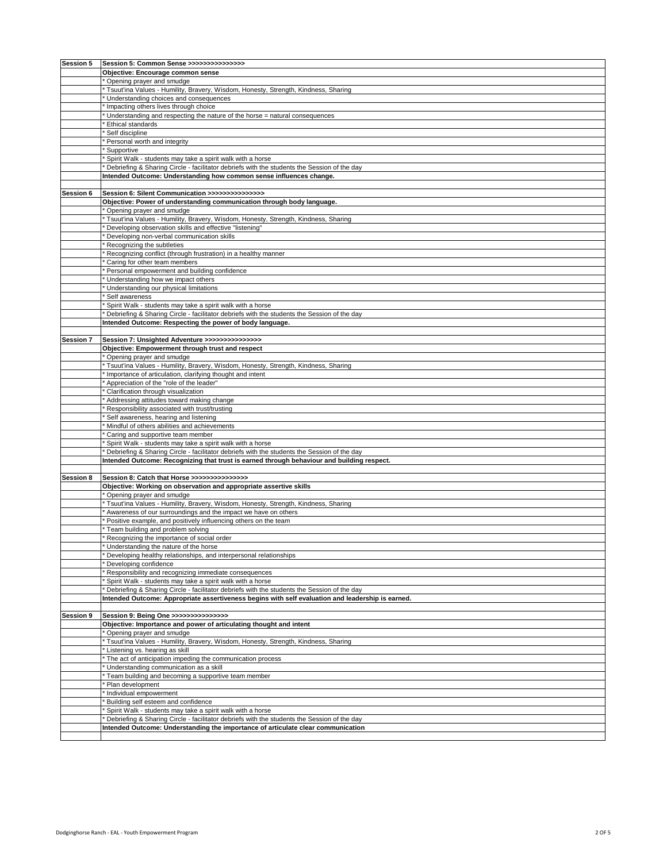| Session 5 | Session 5: Common Sense >>>>>>>>>>>>>>>>                                                          |
|-----------|---------------------------------------------------------------------------------------------------|
|           |                                                                                                   |
|           | Objective: Encourage common sense                                                                 |
|           | Opening prayer and smudge                                                                         |
|           | Tsuut'ina Values - Humility, Bravery, Wisdom, Honesty, Strength, Kindness, Sharing                |
|           | Understanding choices and consequences                                                            |
|           | Impacting others lives through choice                                                             |
|           |                                                                                                   |
|           | Understanding and respecting the nature of the horse = natural consequences                       |
|           | Ethical standards                                                                                 |
|           | Self discipline                                                                                   |
|           | Personal worth and integrity                                                                      |
|           | Supportive                                                                                        |
|           | Spirit Walk - students may take a spirit walk with a horse                                        |
|           |                                                                                                   |
|           | Debriefing & Sharing Circle - facilitator debriefs with the students the Session of the day       |
|           | Intended Outcome: Understanding how common sense influences change.                               |
|           |                                                                                                   |
| Session 6 | Session 6: Silent Communication >>>>>>>>>>>>>>>                                                   |
|           | Objective: Power of understanding communication through body language.                            |
|           |                                                                                                   |
|           | Opening prayer and smudge                                                                         |
|           | Tsuut'ina Values - Humility, Bravery, Wisdom, Honesty, Strength, Kindness, Sharing                |
|           | Developing observation skills and effective "listening"                                           |
|           | Developing non-verbal communication skills                                                        |
|           | Recognizing the subtleties                                                                        |
|           |                                                                                                   |
|           | Recognizing conflict (through frustration) in a healthy manner                                    |
|           | Caring for other team members                                                                     |
|           | Personal empowerment and building confidence                                                      |
|           | Understanding how we impact others                                                                |
|           | Understanding our physical limitations                                                            |
|           | Self awareness                                                                                    |
|           | Spirit Walk - students may take a spirit walk with a horse                                        |
|           |                                                                                                   |
|           | Debriefing & Sharing Circle - facilitator debriefs with the students the Session of the day       |
|           | Intended Outcome: Respecting the power of body language.                                          |
|           |                                                                                                   |
| Session 7 | Session 7: Unsighted Adventure >>>>>>>>>>>>>>>                                                    |
|           | Objective: Empowerment through trust and respect                                                  |
|           | Opening prayer and smudge                                                                         |
|           | Tsuut'ina Values - Humility, Bravery, Wisdom, Honesty, Strength, Kindness, Sharing                |
|           | Importance of articulation, clarifying thought and intent                                         |
|           |                                                                                                   |
|           | Appreciation of the "role of the leader"                                                          |
|           | Clarification through visualization                                                               |
|           | Addressing attitudes toward making change                                                         |
|           | Responsibility associated with trust/trusting                                                     |
|           | Self awareness, hearing and listening                                                             |
|           | Mindful of others abilities and achievements                                                      |
|           | Caring and supportive team member                                                                 |
|           | Spirit Walk - students may take a spirit walk with a horse                                        |
|           | Debriefing & Sharing Circle - facilitator debriefs with the students the Session of the day       |
|           | Intended Outcome: Recognizing that trust is earned through behaviour and building respect.        |
|           |                                                                                                   |
|           |                                                                                                   |
| Session 8 | Session 8: Catch that Horse >>>>>>>>>>>>>>>                                                       |
|           | Objective: Working on observation and appropriate assertive skills                                |
|           | Opening prayer and smudge                                                                         |
|           | Tsuut'ina Values - Humility, Bravery, Wisdom, Honesty, Strength, Kindness, Sharing                |
|           | Awareness of our surroundings and the impact we have on others                                    |
|           | Positive example, and positively influencing others on the team                                   |
|           | Team building and problem solving                                                                 |
|           | Recognizing the importance of social order                                                        |
|           |                                                                                                   |
|           | Understanding the nature of the horse                                                             |
|           | Developing healthy relationships, and interpersonal relationships                                 |
|           | Developing confidence                                                                             |
|           | Responsibility and recognizing immediate consequences                                             |
|           | Spirit Walk - students may take a spirit walk with a horse                                        |
|           | Debriefing & Sharing Circle - facilitator debriefs with the students the Session of the day       |
|           | Intended Outcome: Appropriate assertiveness begins with self evaluation and leadership is earned. |
|           |                                                                                                   |
| Session 9 | Session 9: Being One >>>>>>>>>>>>>>>>                                                             |
|           | Objective: Importance and power of articulating thought and intent                                |
|           |                                                                                                   |
|           | Opening prayer and smudge                                                                         |
|           | Tsuut'ina Values - Humility, Bravery, Wisdom, Honesty, Strength, Kindness, Sharing                |
|           | Listening vs. hearing as skill                                                                    |
|           | The act of anticipation impeding the communication process                                        |
|           | Understanding communication as a skill                                                            |
|           | Team building and becoming a supportive team member                                               |
|           | Plan development                                                                                  |
|           | Individual empowerment                                                                            |
|           |                                                                                                   |
|           | Building self esteem and confidence                                                               |
|           | Spirit Walk - students may take a spirit walk with a horse                                        |
|           | Debriefing & Sharing Circle - facilitator debriefs with the students the Session of the day       |
|           | Intended Outcome: Understanding the importance of articulate clear communication                  |
|           |                                                                                                   |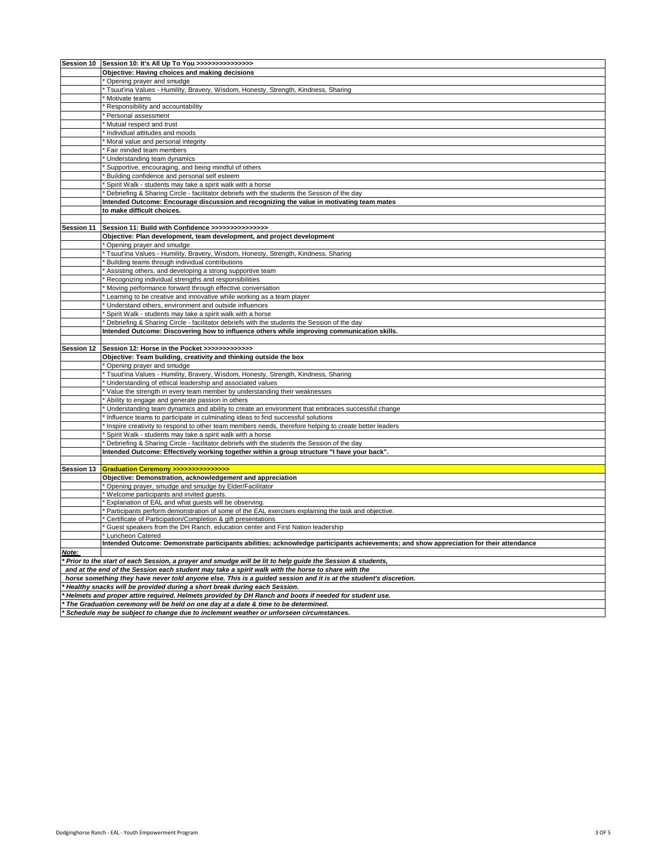|                                                                                                                   | Session 10 Session 10: It's All Up To You >>>>>>>>>>>>>>>>                                                                              |  |
|-------------------------------------------------------------------------------------------------------------------|-----------------------------------------------------------------------------------------------------------------------------------------|--|
|                                                                                                                   | Objective: Having choices and making decisions                                                                                          |  |
|                                                                                                                   | Opening prayer and smudge                                                                                                               |  |
|                                                                                                                   | Tsuut'ina Values - Humility, Bravery, Wisdom, Honesty, Strength, Kindness, Sharing                                                      |  |
|                                                                                                                   |                                                                                                                                         |  |
|                                                                                                                   | Motivate teams                                                                                                                          |  |
|                                                                                                                   | Responsibility and accountability                                                                                                       |  |
|                                                                                                                   | Personal assessment                                                                                                                     |  |
|                                                                                                                   | Mutual respect and trust                                                                                                                |  |
|                                                                                                                   | Individual attitudes and moods                                                                                                          |  |
|                                                                                                                   | Moral value and personal integrity                                                                                                      |  |
|                                                                                                                   | Fair minded team members                                                                                                                |  |
|                                                                                                                   | Understanding team dynamics                                                                                                             |  |
|                                                                                                                   | Supportive, encouraging, and being mindful of others                                                                                    |  |
|                                                                                                                   | Building confidence and personal self esteem                                                                                            |  |
|                                                                                                                   | Spirit Walk - students may take a spirit walk with a horse                                                                              |  |
|                                                                                                                   | * Debriefing & Sharing Circle - facilitator debriefs with the students the Session of the day                                           |  |
|                                                                                                                   | Intended Outcome: Encourage discussion and recognizing the value in motivating team mates                                               |  |
|                                                                                                                   |                                                                                                                                         |  |
|                                                                                                                   | to make difficult choices.                                                                                                              |  |
|                                                                                                                   |                                                                                                                                         |  |
| Session 11                                                                                                        | Session 11: Build with Confidence >>>>>>>>>>>>>>>                                                                                       |  |
|                                                                                                                   | Objective: Plan development, team development, and project development                                                                  |  |
|                                                                                                                   | Opening prayer and smudge                                                                                                               |  |
|                                                                                                                   | Tsuut'ina Values - Humility, Bravery, Wisdom, Honesty, Strength, Kindness, Sharing                                                      |  |
|                                                                                                                   | Building teams through individual contributions                                                                                         |  |
|                                                                                                                   | Assisting others, and developing a strong supportive team                                                                               |  |
|                                                                                                                   | Recognizing individual strengths and responsibilities                                                                                   |  |
|                                                                                                                   | Moving performance forward through effective conversation                                                                               |  |
|                                                                                                                   | Learning to be creative and innovative while working as a team player                                                                   |  |
|                                                                                                                   | Understand others, environment and outside influences                                                                                   |  |
|                                                                                                                   |                                                                                                                                         |  |
|                                                                                                                   | Spirit Walk - students may take a spirit walk with a horse                                                                              |  |
|                                                                                                                   | <sup>t</sup> Debriefing & Sharing Circle - facilitator debriefs with the students the Session of the day                                |  |
|                                                                                                                   | Intended Outcome: Discovering how to influence others while improving communication skills.                                             |  |
|                                                                                                                   |                                                                                                                                         |  |
| Session 12                                                                                                        | Session 12: Horse in the Pocket >>>>>>>>>>>>>                                                                                           |  |
|                                                                                                                   | Objective: Team building, creativity and thinking outside the box                                                                       |  |
|                                                                                                                   | Opening prayer and smudge                                                                                                               |  |
|                                                                                                                   | Tsuut'ina Values - Humility, Bravery, Wisdom, Honesty, Strength, Kindness, Sharing                                                      |  |
|                                                                                                                   | Understanding of ethical leadership and associated values                                                                               |  |
|                                                                                                                   | Value the strength in every team member by understanding their weaknesses                                                               |  |
|                                                                                                                   | Ability to engage and generate passion in others                                                                                        |  |
|                                                                                                                   | Understanding team dynamics and ability to create an environment that embraces successful change                                        |  |
|                                                                                                                   | Influence teams to participate in culminating ideas to find successful solutions                                                        |  |
|                                                                                                                   | Inspire creativity to respond to other team members needs, therefore helping to create better leaders                                   |  |
|                                                                                                                   |                                                                                                                                         |  |
|                                                                                                                   | Spirit Walk - students may take a spirit walk with a horse                                                                              |  |
|                                                                                                                   | Debriefing & Sharing Circle - facilitator debriefs with the students the Session of the day                                             |  |
|                                                                                                                   | Intended Outcome: Effectively working together within a group structure "I have your back".                                             |  |
|                                                                                                                   |                                                                                                                                         |  |
| Session 13                                                                                                        |                                                                                                                                         |  |
|                                                                                                                   | Objective: Demonstration, acknowledgement and appreciation                                                                              |  |
|                                                                                                                   | Opening prayer, smudge and smudge by Elder/Facilitator                                                                                  |  |
|                                                                                                                   | Welcome participants and invited guests.                                                                                                |  |
|                                                                                                                   | Explanation of EAL and what guests will be observing.                                                                                   |  |
|                                                                                                                   | * Participants perform demonstration of some of the EAL exercises explaining the task and objective.                                    |  |
|                                                                                                                   | * Certificate of Participation/Completion & gift presentations                                                                          |  |
|                                                                                                                   | Guest speakers from the DH Ranch, education center and First Nation leadership                                                          |  |
|                                                                                                                   | Luncheon Catered                                                                                                                        |  |
|                                                                                                                   | Intended Outcome: Demonstrate participants abilities; acknowledge participants achievements; and show appreciation for their attendance |  |
| Note:                                                                                                             |                                                                                                                                         |  |
|                                                                                                                   | Prior to the start of each Session, a prayer and smudge will be lit to help guide the Session & students,                               |  |
| and at the end of the Session each student may take a spirit walk with the horse to share with the                |                                                                                                                                         |  |
|                                                                                                                   |                                                                                                                                         |  |
| horse something they have never told anyone else. This is a guided session and it is at the student's discretion. |                                                                                                                                         |  |
| Healthy snacks will be provided during a short break during each Session.                                         |                                                                                                                                         |  |
| Helmets and proper attire required. Helmets provided by DH Ranch and boots if needed for student use.             |                                                                                                                                         |  |
|                                                                                                                   | * The Graduation ceremony will be held on one day at a date & time to be determined.                                                    |  |
|                                                                                                                   | * Schedule may be subject to change due to inclement weather or unforseen circumstances.                                                |  |